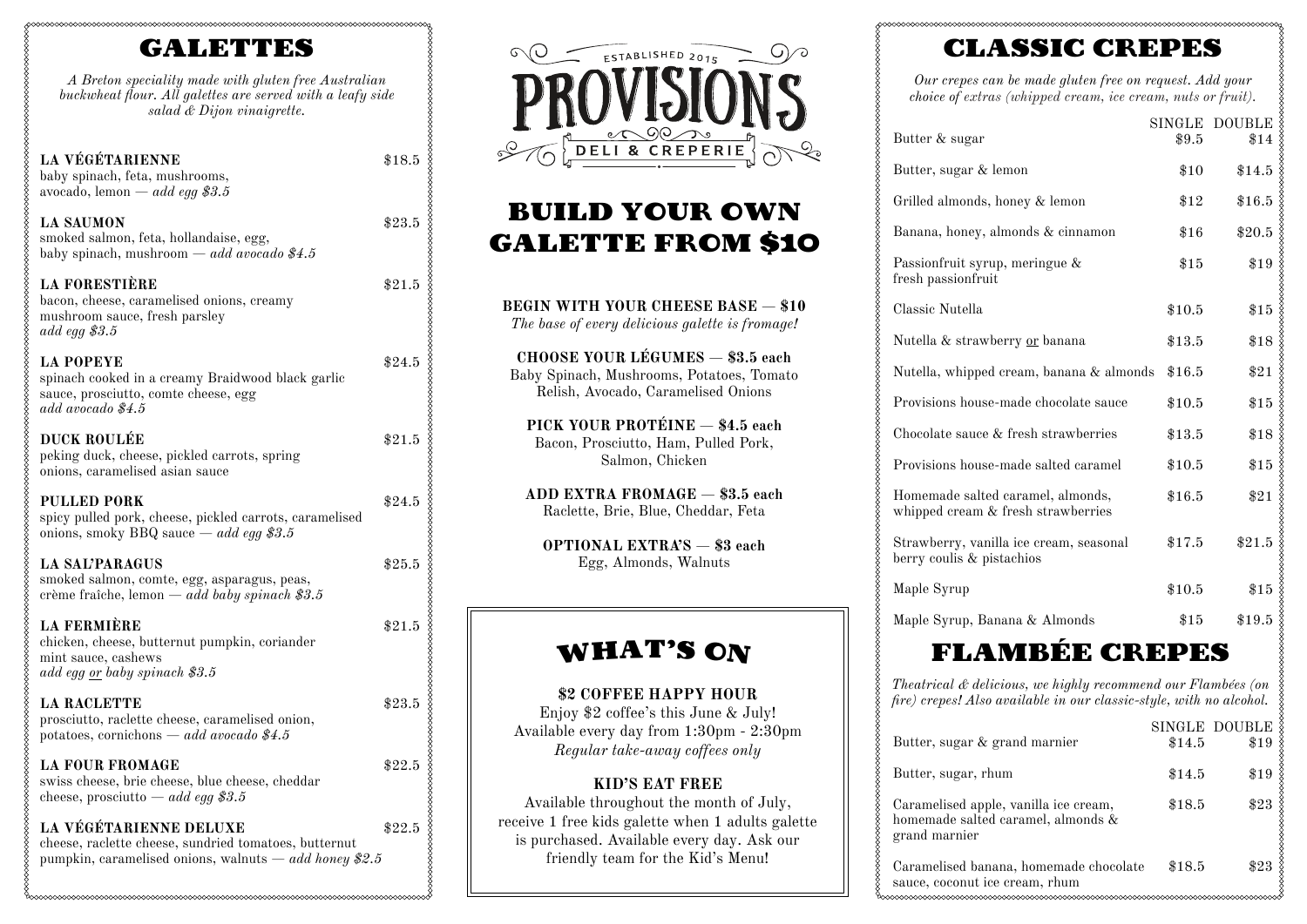## GALETTES

*A Breton speciality made with gluten free Australian buckwheat flour. All galettes are served with a leafy side salad & Dijon vinaigrette.*

| <b>LA VÉGÉTARIENNE</b><br>baby spinach, feta, mushrooms,<br>avocado, lemon — <i>add egg</i> \$3.5                                           | \$18.5   |
|---------------------------------------------------------------------------------------------------------------------------------------------|----------|
| <b>LA SAUMON</b><br>smoked salmon, feta, hollandaise, egg,<br>baby spinach, mushroom $-$ add avocado \$4.5                                  | \$23.5   |
| <b>LA FORESTIÈRE</b><br>bacon, cheese, caramelised onions, creamy<br>mushroom sauce, fresh parsley<br>add egg $$3.5$                        | \$21.5   |
| <b>LA POPEYE</b><br>spinach cooked in a creamy Braidwood black garlic<br>sauce, prosciutto, comte cheese, egg<br>add avocado \$4.5          | \$24.5   |
| <b>DUCK ROULÉE</b><br>peking duck, cheese, pickled carrots, spring<br>onions, caramelised asian sauce                                       | \$21.5   |
| <b>PULLED PORK</b><br>spicy pulled pork, cheese, pickled carrots, caramelised<br>onions, smoky BBQ sauce $-$ <i>add egg \$3.5</i>           | \$24.5   |
| <b>LA SAL'PARAGUS</b><br>smoked salmon, comte, egg, asparagus, peas,<br>crème fraîche, lemon — add baby spinach \$3.5                       | $\$25.5$ |
| <b>LA FERMIÈRE</b><br>chicken, cheese, butternut pumpkin, coriander<br>mint sauce, cashews<br>add egg or baby spinach \$3.5                 | \$21.5   |
| <b>LA RACLETTE</b><br>prosciutto, raclette cheese, caramelised onion,<br>potatoes, cornichons — add avocado \$4.5                           | \$23.5   |
| <b>LA FOUR FROMAGE</b><br>swiss cheese, brie cheese, blue cheese, cheddar<br>cheese, prosciutto — add egg \$3.5                             | \$22.5   |
| LA VÉGÉTARIENNE DELUXE<br>cheese, raclette cheese, sundried tomatoes, butternut<br>pumpkin, caramelised onions, walnuts $-a$ dd honey \$2.5 | \$22.5   |



## BUILD YOUR OWN GALETTE FROM \$10

| <b>BEGIN WITH YOUR CHEESE BASE - \$10</b><br>The base of every delicious galette is fromage!                                |
|-----------------------------------------------------------------------------------------------------------------------------|
| <b>CHOOSE YOUR LÉGUMES - \$3.5 each</b><br>Baby Spinach, Mushrooms, Potatoes, Tomato<br>Relish, Avocado, Caramelised Onions |
| PICK YOUR PROTÉINE - \$4.5 each<br>Bacon, Prosciutto, Ham, Pulled Pork,<br>Salmon, Chicken                                  |

**ADD EXTRA FROMAGE** — **\$3.5 each** Raclette, Brie, Blue, Cheddar, Feta

**OPTIONAL EXTRA'S** — **\$3 each** Egg, Almonds, Walnuts

## WHAT'S ON

### **\$2 COFFEE HAPPY HOUR** Enjoy \$2 coffee's this June & July! Available every day from 1:30pm - 2:30pm *Regular take-away coffees only*

### **KID'S EAT FREE**

Available throughout the month of July, receive 1 free kids galette when 1 adults galette is purchased. Available every day. Ask our friendly team for the Kid's Menu!

# CLASSIC CREPES

*Our crepes can be made gluten free on request. Add your choice of extras (whipped cream, ice cream, nuts or fruit).*

| Butter & sugar                                                          | \$9.5  | SINGLE DOUBLE<br>\$14 |
|-------------------------------------------------------------------------|--------|-----------------------|
| Butter, sugar & lemon                                                   | $\$10$ | \$14.5                |
| Grilled almonds, honey & lemon                                          | \$12   | \$16.5                |
| Banana, honey, almonds & cinnamon                                       | $\$16$ | \$20.5                |
| Passionfruit syrup, meringue &<br>fresh passionfruit                    | $\$15$ | \$19                  |
| Classic Nutella                                                         | \$10.5 | \$15                  |
| Nutella & strawberry or banana                                          | \$13.5 | $\$18$                |
| Nutella, whipped cream, banana & almonds                                | \$16.5 | $\$21$                |
| Provisions house-made chocolate sauce                                   | \$10.5 | \$15                  |
| Chocolate sauce & fresh strawberries                                    | \$13.5 | \$18                  |
| Provisions house-made salted caramel                                    | \$10.5 | \$15                  |
| Homemade salted caramel, almonds,<br>whipped cream & fresh strawberries | \$16.5 | \$21                  |
| Strawberry, vanilla ice cream, seasonal<br>berry coulis & pistachios    | \$17.5 | \$21.5                |
| Maple Syrup                                                             | \$10.5 | \$15                  |
| Maple Syrup, Banana & Almonds                                           | $\$15$ | \$19.5                |

# FLAMBÉE CREPES

*Theatrical & delicious, we highly recommend our Flambées (on fire) crepes! Also available in our classic-style, with no alcohol.*

| Butter, sugar & grand marnier                                                                | \$14.5 | SINGLE DOUBLE<br>\$19 |
|----------------------------------------------------------------------------------------------|--------|-----------------------|
| Butter, sugar, rhum                                                                          | \$14.5 | \$19                  |
| Caramelised apple, vanilla ice cream,<br>homemade salted caramel, almonds &<br>grand marnier | \$18.5 | \$23                  |
| Caramelised banana, homemade chocolate<br>sauce, coconut ice cream, rhum                     | \$18.5 | \$23                  |